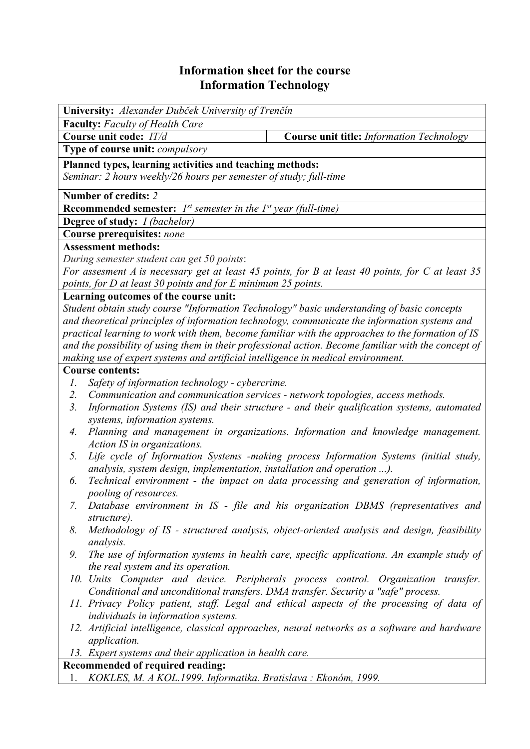## **Information sheet for the course Information Technology**

| <b>Faculty:</b> Faculty of Health Care<br>Course unit code: IT/d<br>Course unit title: Information Technology<br>Type of course unit: compulsory<br>Planned types, learning activities and teaching methods:<br>Seminar: 2 hours weekly/26 hours per semester of study; full-time<br>Number of credits: 2<br><b>Recommended semester:</b> $I^{st}$ semester in the $I^{st}$ year (full-time)<br><b>Degree of study:</b> <i>I (bachelor)</i><br>Course prerequisites: none<br><b>Assessment methods:</b> |  |  |  |  |  |  |  |  |
|---------------------------------------------------------------------------------------------------------------------------------------------------------------------------------------------------------------------------------------------------------------------------------------------------------------------------------------------------------------------------------------------------------------------------------------------------------------------------------------------------------|--|--|--|--|--|--|--|--|
|                                                                                                                                                                                                                                                                                                                                                                                                                                                                                                         |  |  |  |  |  |  |  |  |
|                                                                                                                                                                                                                                                                                                                                                                                                                                                                                                         |  |  |  |  |  |  |  |  |
|                                                                                                                                                                                                                                                                                                                                                                                                                                                                                                         |  |  |  |  |  |  |  |  |
|                                                                                                                                                                                                                                                                                                                                                                                                                                                                                                         |  |  |  |  |  |  |  |  |
|                                                                                                                                                                                                                                                                                                                                                                                                                                                                                                         |  |  |  |  |  |  |  |  |
|                                                                                                                                                                                                                                                                                                                                                                                                                                                                                                         |  |  |  |  |  |  |  |  |
|                                                                                                                                                                                                                                                                                                                                                                                                                                                                                                         |  |  |  |  |  |  |  |  |
|                                                                                                                                                                                                                                                                                                                                                                                                                                                                                                         |  |  |  |  |  |  |  |  |
|                                                                                                                                                                                                                                                                                                                                                                                                                                                                                                         |  |  |  |  |  |  |  |  |
|                                                                                                                                                                                                                                                                                                                                                                                                                                                                                                         |  |  |  |  |  |  |  |  |
| During semester student can get 50 points:                                                                                                                                                                                                                                                                                                                                                                                                                                                              |  |  |  |  |  |  |  |  |
| For assesment A is necessary get at least 45 points, for B at least 40 points, for C at least 35                                                                                                                                                                                                                                                                                                                                                                                                        |  |  |  |  |  |  |  |  |
| points, for D at least 30 points and for E minimum 25 points.                                                                                                                                                                                                                                                                                                                                                                                                                                           |  |  |  |  |  |  |  |  |
| Learning outcomes of the course unit:                                                                                                                                                                                                                                                                                                                                                                                                                                                                   |  |  |  |  |  |  |  |  |
| Student obtain study course "Information Technology" basic understanding of basic concepts                                                                                                                                                                                                                                                                                                                                                                                                              |  |  |  |  |  |  |  |  |
| and theoretical principles of information technology, communicate the information systems and                                                                                                                                                                                                                                                                                                                                                                                                           |  |  |  |  |  |  |  |  |
| practical learning to work with them, become familiar with the approaches to the formation of IS                                                                                                                                                                                                                                                                                                                                                                                                        |  |  |  |  |  |  |  |  |
| and the possibility of using them in their professional action. Become familiar with the concept of                                                                                                                                                                                                                                                                                                                                                                                                     |  |  |  |  |  |  |  |  |
| making use of expert systems and artificial intelligence in medical environment.                                                                                                                                                                                                                                                                                                                                                                                                                        |  |  |  |  |  |  |  |  |
| <b>Course contents:</b>                                                                                                                                                                                                                                                                                                                                                                                                                                                                                 |  |  |  |  |  |  |  |  |
| Safety of information technology - cybercrime.<br>Ι.                                                                                                                                                                                                                                                                                                                                                                                                                                                    |  |  |  |  |  |  |  |  |
| Communication and communication services - network topologies, access methods.<br>2.                                                                                                                                                                                                                                                                                                                                                                                                                    |  |  |  |  |  |  |  |  |
| Information Systems (IS) and their structure - and their qualification systems, automated<br>$\mathfrak{Z}$ .<br>systems, information systems.                                                                                                                                                                                                                                                                                                                                                          |  |  |  |  |  |  |  |  |
| Planning and management in organizations. Information and knowledge management.<br>4.                                                                                                                                                                                                                                                                                                                                                                                                                   |  |  |  |  |  |  |  |  |
| Action IS in organizations.                                                                                                                                                                                                                                                                                                                                                                                                                                                                             |  |  |  |  |  |  |  |  |
| Life cycle of Information Systems -making process Information Systems (initial study,<br>5.                                                                                                                                                                                                                                                                                                                                                                                                             |  |  |  |  |  |  |  |  |
| analysis, system design, implementation, installation and operation ).                                                                                                                                                                                                                                                                                                                                                                                                                                  |  |  |  |  |  |  |  |  |
| Technical environment - the impact on data processing and generation of information,<br>6.                                                                                                                                                                                                                                                                                                                                                                                                              |  |  |  |  |  |  |  |  |
| pooling of resources.                                                                                                                                                                                                                                                                                                                                                                                                                                                                                   |  |  |  |  |  |  |  |  |
| Database environment in IS - file and his organization DBMS (representatives and<br>7.                                                                                                                                                                                                                                                                                                                                                                                                                  |  |  |  |  |  |  |  |  |
| structure).                                                                                                                                                                                                                                                                                                                                                                                                                                                                                             |  |  |  |  |  |  |  |  |
| Methodology of IS - structured analysis, object-oriented analysis and design, feasibility<br>8.                                                                                                                                                                                                                                                                                                                                                                                                         |  |  |  |  |  |  |  |  |
| <i>analysis.</i>                                                                                                                                                                                                                                                                                                                                                                                                                                                                                        |  |  |  |  |  |  |  |  |
| The use of information systems in health care, specific applications. An example study of<br>9.                                                                                                                                                                                                                                                                                                                                                                                                         |  |  |  |  |  |  |  |  |
| the real system and its operation.                                                                                                                                                                                                                                                                                                                                                                                                                                                                      |  |  |  |  |  |  |  |  |
| 10. Units Computer and device. Peripherals process control. Organization transfer.                                                                                                                                                                                                                                                                                                                                                                                                                      |  |  |  |  |  |  |  |  |
| Conditional and unconditional transfers. DMA transfer. Security a "safe" process.                                                                                                                                                                                                                                                                                                                                                                                                                       |  |  |  |  |  |  |  |  |
| 11. Privacy Policy patient, staff. Legal and ethical aspects of the processing of data of                                                                                                                                                                                                                                                                                                                                                                                                               |  |  |  |  |  |  |  |  |
| individuals in information systems.                                                                                                                                                                                                                                                                                                                                                                                                                                                                     |  |  |  |  |  |  |  |  |
| 12. Artificial intelligence, classical approaches, neural networks as a software and hardware                                                                                                                                                                                                                                                                                                                                                                                                           |  |  |  |  |  |  |  |  |
| <i>application.</i>                                                                                                                                                                                                                                                                                                                                                                                                                                                                                     |  |  |  |  |  |  |  |  |
| 13. Expert systems and their application in health care.                                                                                                                                                                                                                                                                                                                                                                                                                                                |  |  |  |  |  |  |  |  |
| <b>Recommended of required reading:</b><br>KOKLES, M. A KOL.1999. Informatika. Bratislava : Ekonóm, 1999.                                                                                                                                                                                                                                                                                                                                                                                               |  |  |  |  |  |  |  |  |
|                                                                                                                                                                                                                                                                                                                                                                                                                                                                                                         |  |  |  |  |  |  |  |  |